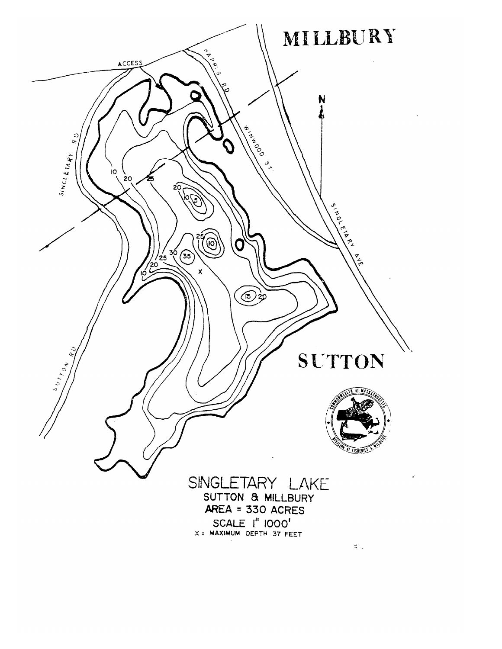